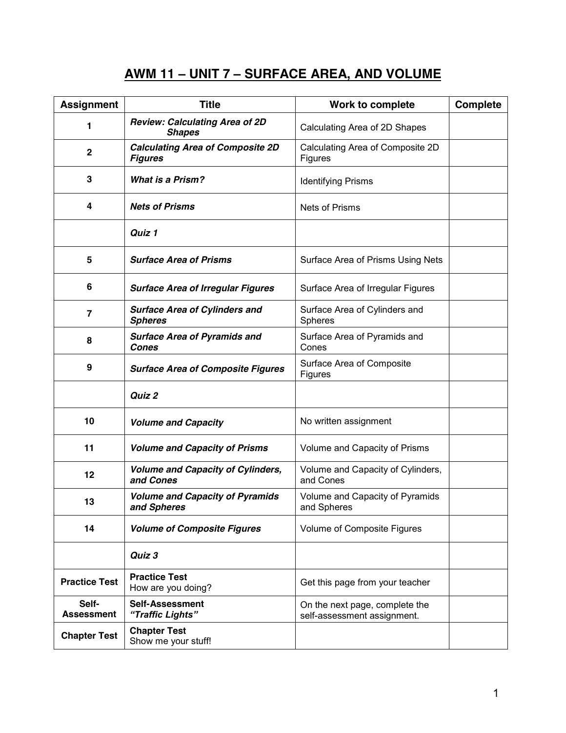# **AWM 11 – UNIT 7 – SURFACE AREA, AND VOLUME**

| <b>Assignment</b>          | <b>Title</b>                                              | Work to complete                                              | <b>Complete</b> |
|----------------------------|-----------------------------------------------------------|---------------------------------------------------------------|-----------------|
| 1                          | <b>Review: Calculating Area of 2D</b><br><b>Shapes</b>    | Calculating Area of 2D Shapes                                 |                 |
| $\mathbf{2}$               | <b>Calculating Area of Composite 2D</b><br><b>Figures</b> | Calculating Area of Composite 2D<br>Figures                   |                 |
| 3                          | <b>What is a Prism?</b>                                   | <b>Identifying Prisms</b>                                     |                 |
| 4                          | <b>Nets of Prisms</b>                                     | <b>Nets of Prisms</b>                                         |                 |
|                            | Quiz 1                                                    |                                                               |                 |
| 5                          | <b>Surface Area of Prisms</b>                             | Surface Area of Prisms Using Nets                             |                 |
| 6                          | <b>Surface Area of Irregular Figures</b>                  | Surface Area of Irregular Figures                             |                 |
| $\overline{\mathbf{z}}$    | <b>Surface Area of Cylinders and</b><br><b>Spheres</b>    | Surface Area of Cylinders and<br>Spheres                      |                 |
| 8                          | <b>Surface Area of Pyramids and</b><br>Cones              | Surface Area of Pyramids and<br>Cones                         |                 |
| 9                          | <b>Surface Area of Composite Figures</b>                  | Surface Area of Composite<br>Figures                          |                 |
|                            | Quiz 2                                                    |                                                               |                 |
| 10                         | <b>Volume and Capacity</b>                                | No written assignment                                         |                 |
| 11                         | <b>Volume and Capacity of Prisms</b>                      | Volume and Capacity of Prisms                                 |                 |
| 12                         | <b>Volume and Capacity of Cylinders,</b><br>and Cones     | Volume and Capacity of Cylinders,<br>and Cones                |                 |
| 13                         | <b>Volume and Capacity of Pyramids</b><br>and Spheres     | Volume and Capacity of Pyramids<br>and Spheres                |                 |
| 14                         | <b>Volume of Composite Figures</b>                        | Volume of Composite Figures                                   |                 |
|                            | Quiz 3                                                    |                                                               |                 |
| <b>Practice Test</b>       | <b>Practice Test</b><br>How are you doing?                | Get this page from your teacher                               |                 |
| Self-<br><b>Assessment</b> | <b>Self-Assessment</b><br>"Traffic Lights"                | On the next page, complete the<br>self-assessment assignment. |                 |
| <b>Chapter Test</b>        | <b>Chapter Test</b><br>Show me your stuff!                |                                                               |                 |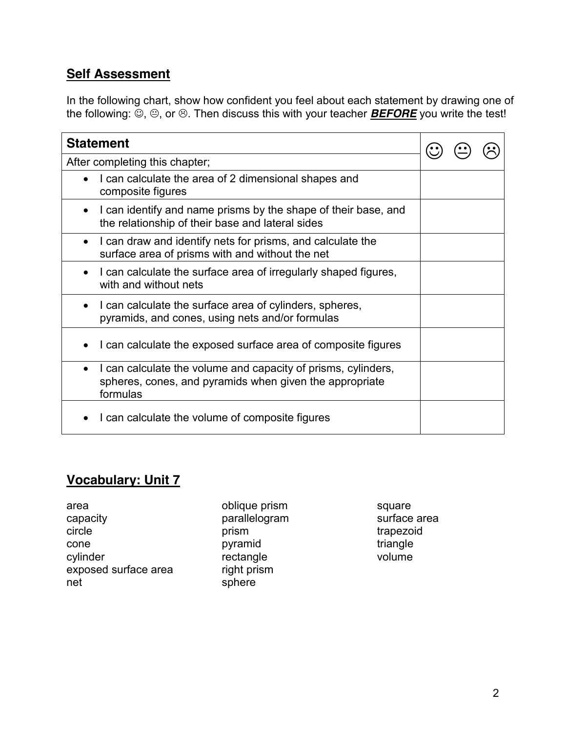#### **Self Assessment**

In the following chart, show how confident you feel about each statement by drawing one of the following:  $\ddot{\odot}$ ,  $\odot$ , or  $\odot$ . Then discuss this with your teacher **BEFORE** you write the test!

| <b>Statement</b>                                                                                                                                  |  |  |  |
|---------------------------------------------------------------------------------------------------------------------------------------------------|--|--|--|
| After completing this chapter;                                                                                                                    |  |  |  |
| I can calculate the area of 2 dimensional shapes and<br>composite figures                                                                         |  |  |  |
| I can identify and name prisms by the shape of their base, and<br>the relationship of their base and lateral sides                                |  |  |  |
| I can draw and identify nets for prisms, and calculate the<br>$\bullet$<br>surface area of prisms with and without the net                        |  |  |  |
| I can calculate the surface area of irregularly shaped figures,<br>$\bullet$<br>with and without nets                                             |  |  |  |
| I can calculate the surface area of cylinders, spheres,<br>$\bullet$<br>pyramids, and cones, using nets and/or formulas                           |  |  |  |
| I can calculate the exposed surface area of composite figures                                                                                     |  |  |  |
| I can calculate the volume and capacity of prisms, cylinders,<br>$\bullet$<br>spheres, cones, and pyramids when given the appropriate<br>formulas |  |  |  |
| I can calculate the volume of composite figures                                                                                                   |  |  |  |

## **Vocabulary: Unit 7**

area capacity circle cone cylinder exposed surface area net

oblique prism parallelogram prism pyramid rectangle right prism sphere

square surface area trapezoid triangle volume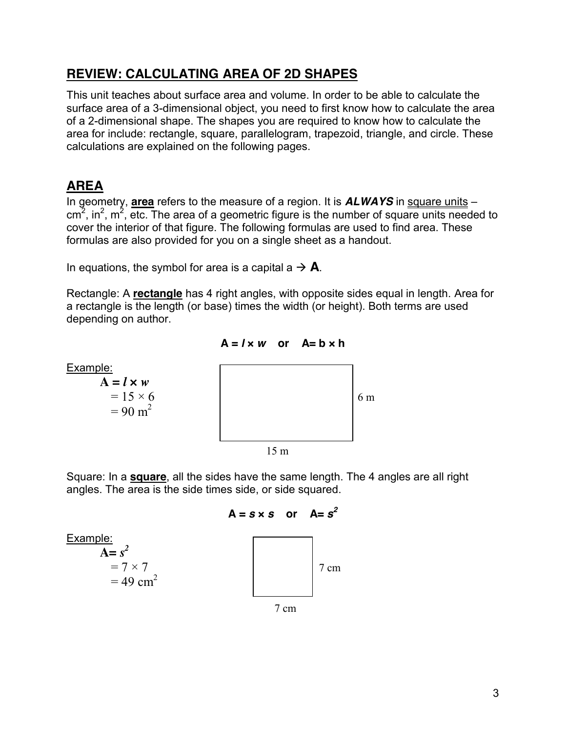#### **REVIEW: CALCULATING AREA OF 2D SHAPES**

This unit teaches about surface area and volume. In order to be able to calculate the surface area of a 3-dimensional object, you need to first know how to calculate the area of a 2-dimensional shape. The shapes you are required to know how to calculate the area for include: rectangle, square, parallelogram, trapezoid, triangle, and circle. These calculations are explained on the following pages.

# **AREA**

In geometry, **area** refers to the measure of a region. It is *ALWAYS* in square units –  $\text{cm}^2$ , in<sup>2</sup>,  $\text{m}^2$ , etc. The area of a geometric figure is the number of square units needed to cover the interior of that figure. The following formulas are used to find area. These formulas are also provided for you on a single sheet as a handout.

In equations, the symbol for area is a capital  $a \rightarrow A$ .

Rectangle: A **rectangle** has 4 right angles, with opposite sides equal in length. Area for a rectangle is the length (or base) times the width (or height). Both terms are used depending on author.



Square: In a **square**, all the sides have the same length. The 4 angles are all right angles. The area is the side times side, or side squared.

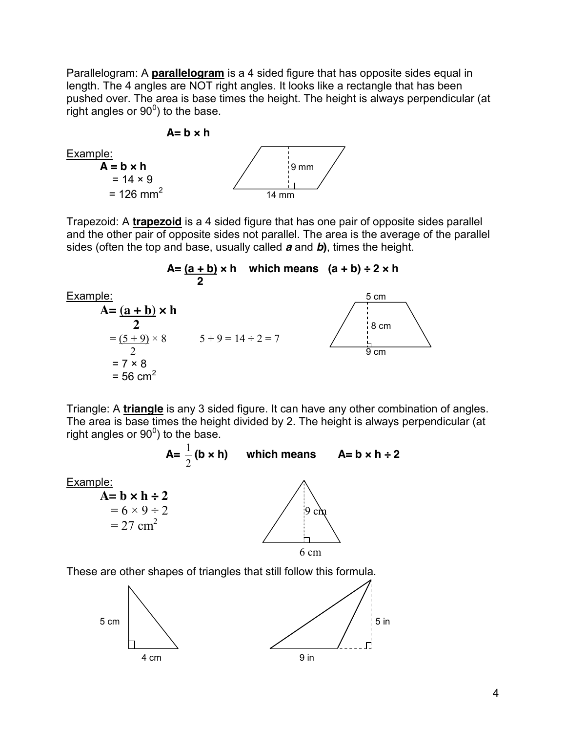Parallelogram: A **parallelogram** is a 4 sided figure that has opposite sides equal in length. The 4 angles are NOT right angles. It looks like a rectangle that has been pushed over. The area is base times the height. The height is always perpendicular (at  $\overline{\phantom{a}}$  right angles or 90<sup>0</sup>) to the base.





Trapezoid: A **trapezoid** is a 4 sided figure that has one pair of opposite sides parallel and the other pair of opposite sides not parallel. The area is the average of the parallel sides (often the top and base, usually called *a* and *b***)**, times the height.



Triangle: A **triangle** is any 3 sided figure. It can have any other combination of angles. The area is base times the height divided by 2. The height is always perpendicular (at right angles or  $90^0$ ) to the base.





**A=**  2



These are other shapes of triangles that still follow this formula.

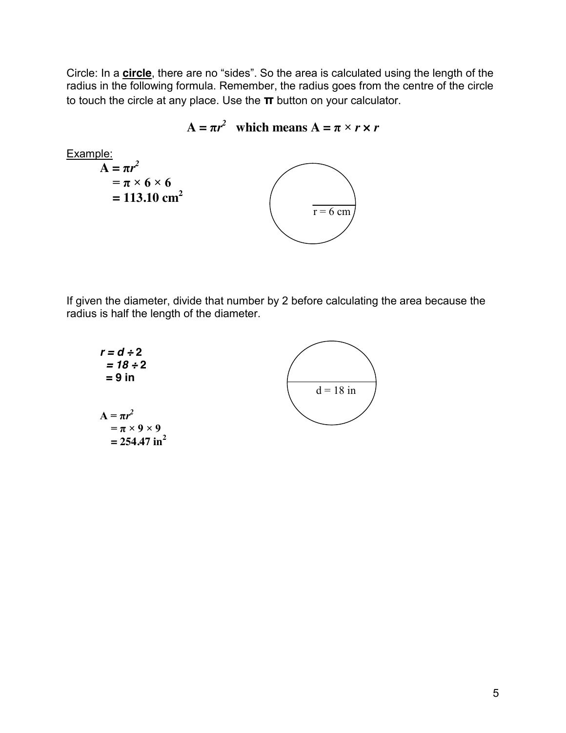Circle: In a **circle**, there are no "sides". So the area is calculated using the length of the radius in the following formula. Remember, the radius goes from the centre of the circle to touch the circle at any place. Use the **π** button on your calculator.

$$
A = \pi r^2 \text{ which means } A = \pi \times r \times r
$$

$$
\begin{array}{l}\n\text{Example:} \\
\mathbf{A} = \pi r^2 \\
\begin{aligned}\n&= \pi \times 6 \times 6 \\
&= 113.10 \text{ cm}^2\n\end{aligned}\n\end{array}
$$

If given the diameter, divide that number by 2 before calculating the area because the radius is half the length of the diameter.

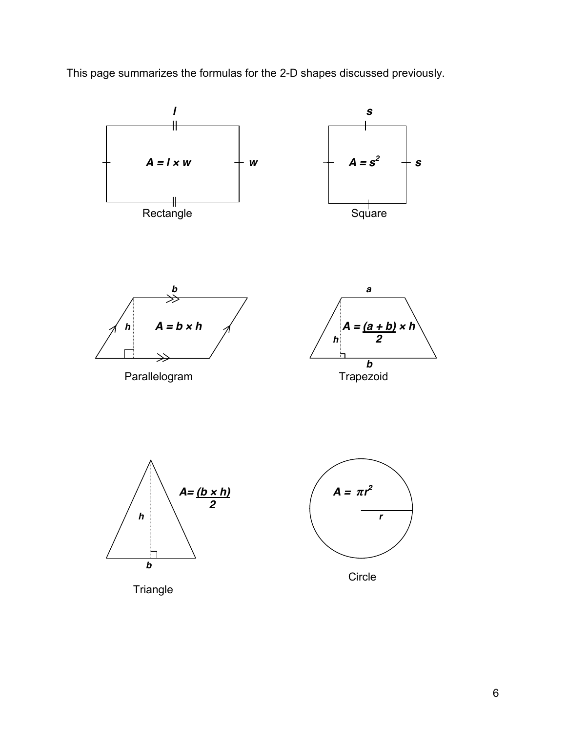This page summarizes the formulas for the 2-D shapes discussed previously.

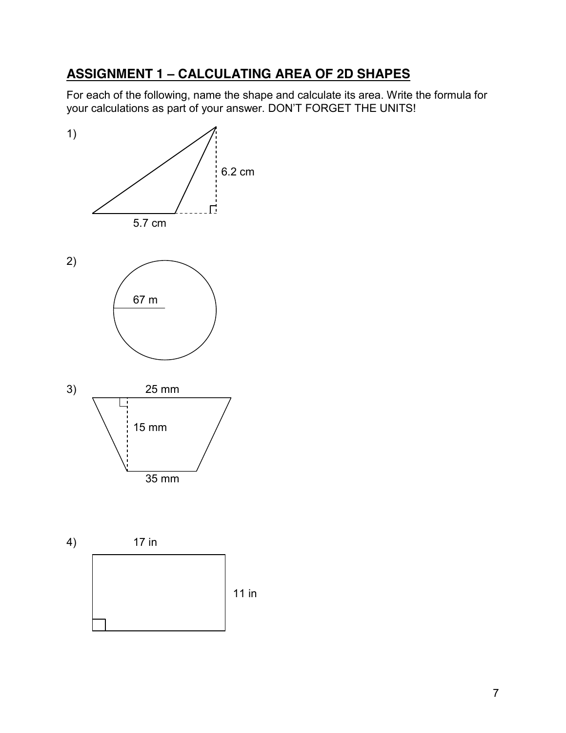# **ASSIGNMENT 1 – CALCULATING AREA OF 2D SHAPES**

For each of the following, name the shape and calculate its area. Write the formula for your calculations as part of your answer. DON'T FORGET THE UNITS!

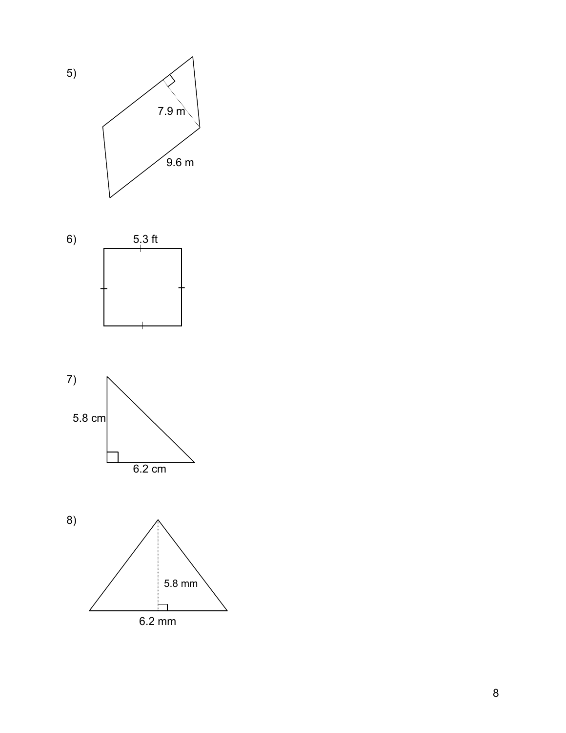





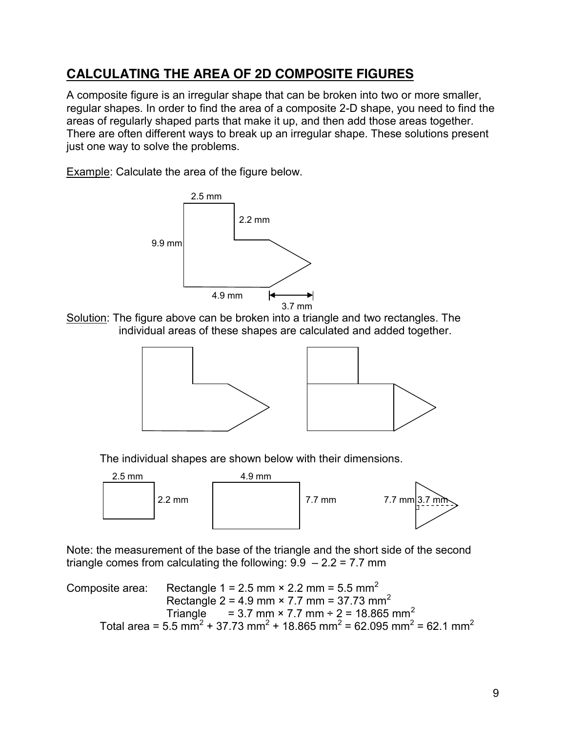## **CALCULATING THE AREA OF 2D COMPOSITE FIGURES**

A composite figure is an irregular shape that can be broken into two or more smaller, regular shapes. In order to find the area of a composite 2-D shape, you need to find the areas of regularly shaped parts that make it up, and then add those areas together. There are often different ways to break up an irregular shape. These solutions present just one way to solve the problems.

Example: Calculate the area of the figure below.







The individual shapes are shown below with their dimensions.



Note: the measurement of the base of the triangle and the short side of the second triangle comes from calculating the following:  $9.9 - 2.2 = 7.7$  mm

Composite area: Rectangle 1 = 2.5 mm  $\times$  2.2 mm = 5.5 mm<sup>2</sup> Rectangle 2 = 4.9 mm  $\times$  7.7 mm = 37.73 mm<sup>2</sup> Triangle = 3.7 mm  $\times$  7.7 mm  $\div$  2 = 18.865 mm<sup>2</sup> Total area = 5.5 mm<sup>2</sup> + 37.73 mm<sup>2</sup> + 18.865 mm<sup>2</sup> = 62.095 mm<sup>2</sup> = 62.1 mm<sup>2</sup>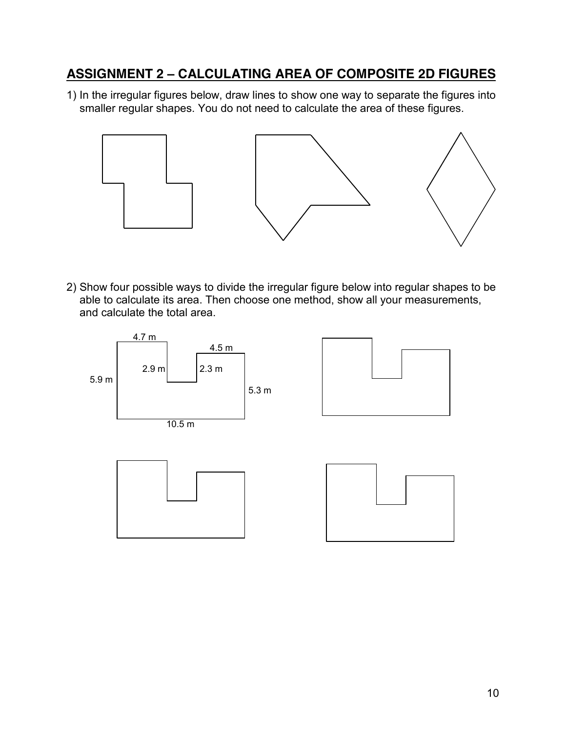#### **ASSIGNMENT 2 – CALCULATING AREA OF COMPOSITE 2D FIGURES**

1) In the irregular figures below, draw lines to show one way to separate the figures into smaller regular shapes. You do not need to calculate the area of these figures.



2) Show four possible ways to divide the irregular figure below into regular shapes to be able to calculate its area. Then choose one method, show all your measurements, and calculate the total area.

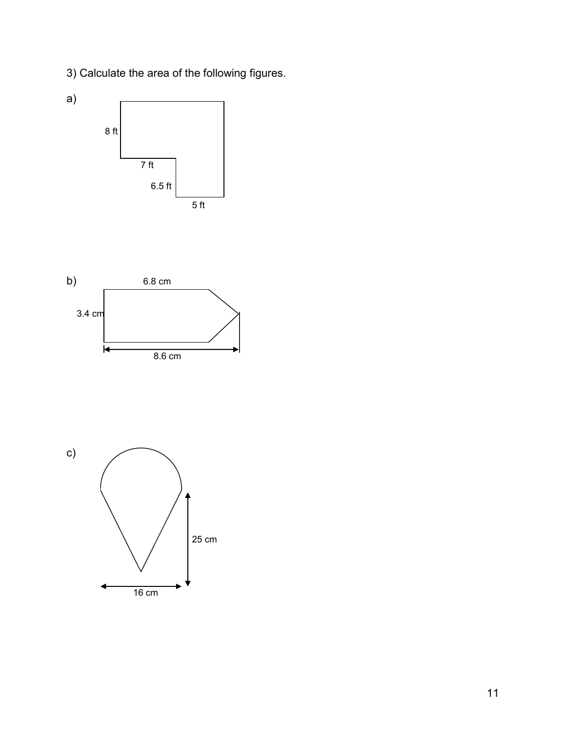3) Calculate the area of the following figures.





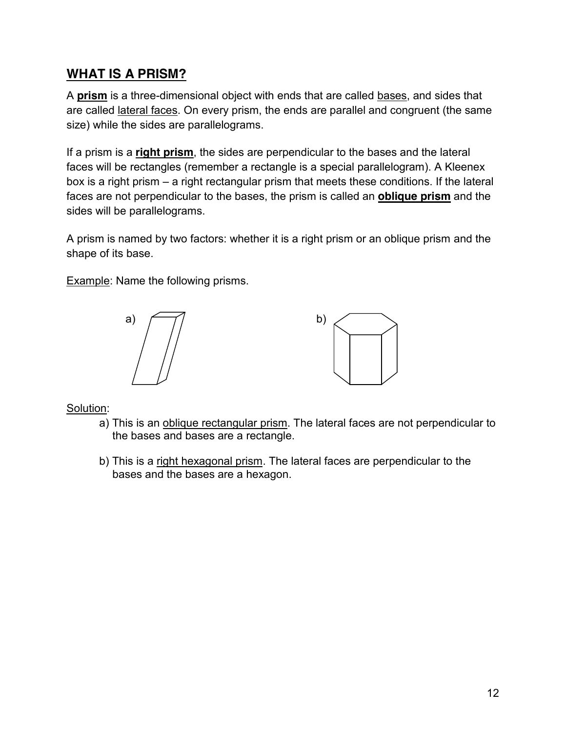#### **WHAT IS A PRISM?**

A **prism** is a three-dimensional object with ends that are called bases, and sides that are called lateral faces. On every prism, the ends are parallel and congruent (the same size) while the sides are parallelograms.

If a prism is a **right prism**, the sides are perpendicular to the bases and the lateral faces will be rectangles (remember a rectangle is a special parallelogram). A Kleenex box is a right prism – a right rectangular prism that meets these conditions. If the lateral faces are not perpendicular to the bases, the prism is called an **oblique prism** and the sides will be parallelograms.

A prism is named by two factors: whether it is a right prism or an oblique prism and the shape of its base.

Example: Name the following prisms.





Solution:

- a) This is an oblique rectangular prism. The lateral faces are not perpendicular to the bases and bases are a rectangle.
- b) This is a right hexagonal prism. The lateral faces are perpendicular to the bases and the bases are a hexagon.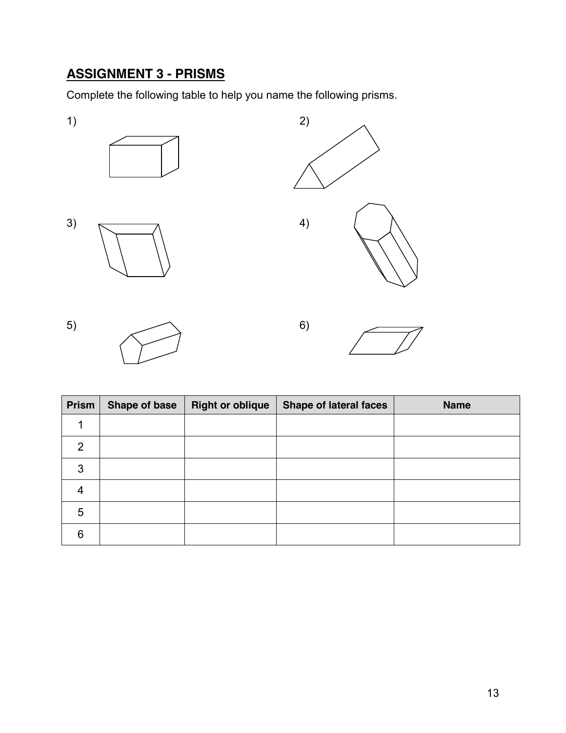# **ASSIGNMENT 3 - PRISMS**

Complete the following table to help you name the following prisms.







| Prism          | <b>Shape of base</b> | <b>Right or oblique</b> | <b>Shape of lateral faces</b> | <b>Name</b> |
|----------------|----------------------|-------------------------|-------------------------------|-------------|
|                |                      |                         |                               |             |
| $\overline{2}$ |                      |                         |                               |             |
| 3              |                      |                         |                               |             |
| 4              |                      |                         |                               |             |
| 5              |                      |                         |                               |             |
| 6              |                      |                         |                               |             |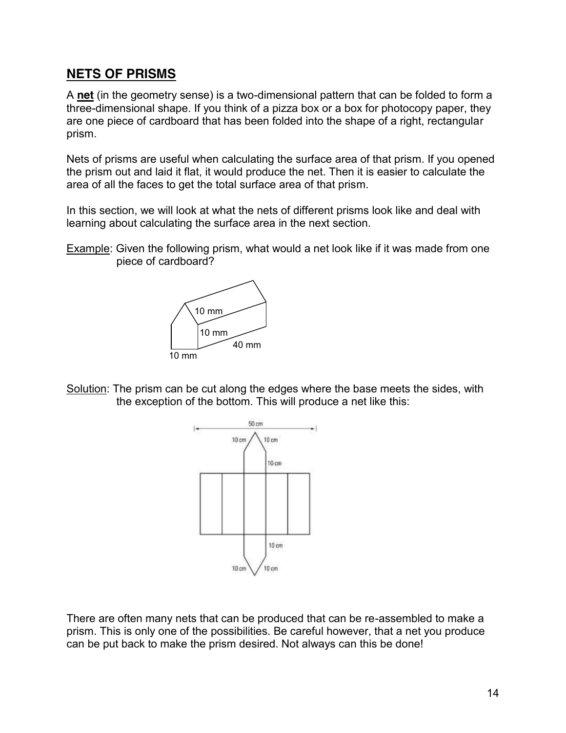#### **NETS OF PRISMS**

A **net** (in the geometry sense) is a two-dimensional pattern that can be folded to form a three-dimensional shape. If you think of a pizza box or a box for photocopy paper, they are one piece of cardboard that has been folded into the shape of a right, rectangular prism.

Nets of prisms are useful when calculating the surface area of that prism. If you opened the prism out and laid it flat, it would produce the net. Then it is easier to calculate the area of all the faces to get the total surface area of that prism.

In this section, we will look at what the nets of different prisms look like and deal with learning about calculating the surface area in the next section.

Example: Given the following prism, what would a net look like if it was made from one piece of cardboard?



Solution: The prism can be cut along the edges where the base meets the sides, with the exception of the bottom. This will produce a net like this:



There are often many nets that can be produced that can be re-assembled to make a prism. This is only one of the possibilities. Be careful however, that a net you produce can be put back to make the prism desired. Not always can this be done!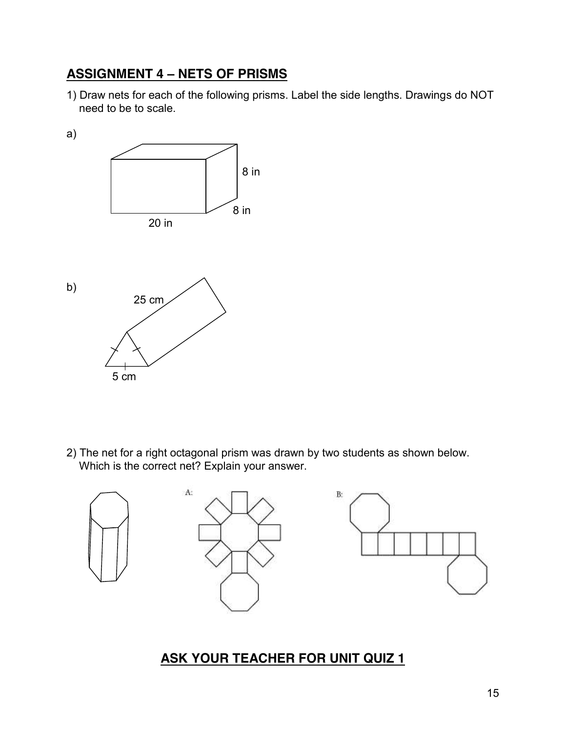# **ASSIGNMENT 4 – NETS OF PRISMS**

1) Draw nets for each of the following prisms. Label the side lengths. Drawings do NOT need to be to scale.

a) 8 in 8 in 20 in b) 25 cm 5 cm

2) The net for a right octagonal prism was drawn by two students as shown below. Which is the correct net? Explain your answer.



# **ASK YOUR TEACHER FOR UNIT QUIZ 1**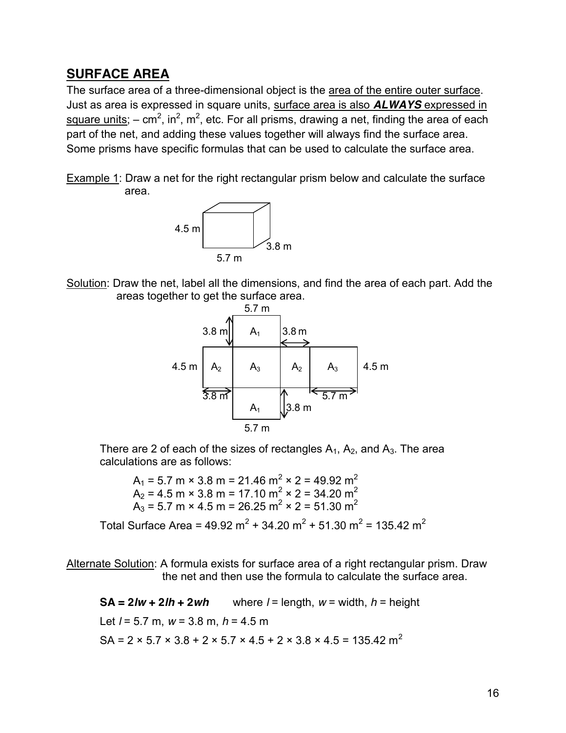#### **SURFACE AREA**

The surface area of a three-dimensional object is the area of the entire outer surface. Just as area is expressed in square units, surface area is also *ALWAYS* expressed in square units; – cm<sup>2</sup>, in<sup>2</sup>, m<sup>2</sup>, etc. For all prisms, drawing a net, finding the area of each part of the net, and adding these values together will always find the surface area. Some prisms have specific formulas that can be used to calculate the surface area.

Example 1: Draw a net for the right rectangular prism below and calculate the surface area.



Solution: Draw the net, label all the dimensions, and find the area of each part. Add the areas together to get the surface area.



There are 2 of each of the sizes of rectangles  $A_1$ ,  $A_2$ , and  $A_3$ . The area calculations are as follows:

 $A_1 = 5.7$  m  $\times$  3.8 m = 21.46 m<sup>2</sup>  $\times$  2 = 49.92 m<sup>2</sup>  $A_2$  = 4.5 m × 3.8 m = 17.10 m<sup>2</sup> × 2 = 34.20 m<sup>2</sup>  $A_3$  = 5.7 m × 4.5 m = 26.25 m<sup>2</sup> × 2 = 51.30 m<sup>2</sup>

Total Surface Area =  $49.92 \text{ m}^2 + 34.20 \text{ m}^2 + 51.30 \text{ m}^2 = 135.42 \text{ m}^2$ 

Alternate Solution: A formula exists for surface area of a right rectangular prism. Draw the net and then use the formula to calculate the surface area.

**SA** =  $2/w + 2/h + 2wh$  where  $l =$  length,  $w =$  width,  $h =$  height Let *l* = 5.7 m, *w* = 3.8 m, *h* = 4.5 m SA = 2 × 5.7 × 3.8 + 2 × 5.7 × 4.5 + 2 × 3.8 × 4.5 = 135.42 m<sup>2</sup>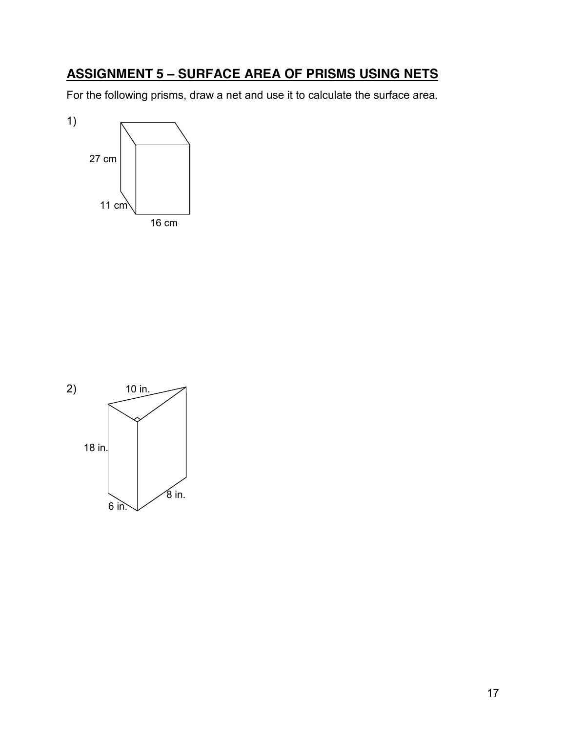# **ASSIGNMENT 5 – SURFACE AREA OF PRISMS USING NETS**

For the following prisms, draw a net and use it to calculate the surface area.



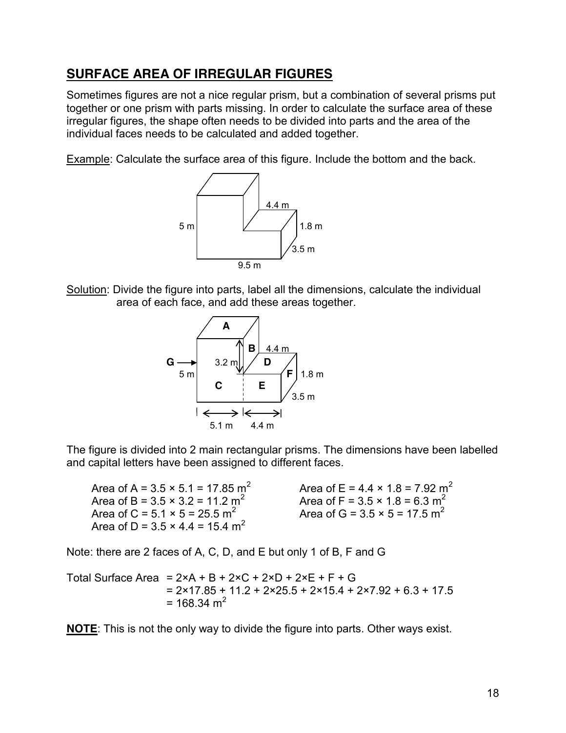#### **SURFACE AREA OF IRREGULAR FIGURES**

Sometimes figures are not a nice regular prism, but a combination of several prisms put together or one prism with parts missing. In order to calculate the surface area of these irregular figures, the shape often needs to be divided into parts and the area of the individual faces needs to be calculated and added together.

Example: Calculate the surface area of this figure. Include the bottom and the back.



Solution: Divide the figure into parts, label all the dimensions, calculate the individual area of each face, and add these areas together.



The figure is divided into 2 main rectangular prisms. The dimensions have been labelled and capital letters have been assigned to different faces.

| Area of A = $3.5 \times 5.1 = 17.85$ m <sup>2</sup> |
|-----------------------------------------------------|
| Area of B = $3.5 \times 3.2 = 11.2$ m <sup>2</sup>  |
| Area of C = $5.1 \times 5 = 25.5$ m <sup>2</sup>    |
| Area of D = $3.5 \times 4.4 = 15.4$ m <sup>2</sup>  |

Area of E =  $4.4 \times 1.8 = 7.92$  m<sup>2</sup> Area of F =  $3.5 \times 1.8 = 6.3$  m<sup>2</sup> Area of G =  $3.5 \times 5 = 17.5$  m<sup>2</sup>

Note: there are 2 faces of A, C, D, and E but only 1 of B, F and G

Total Surface Area =  $2 \times A + B + 2 \times C + 2 \times D + 2 \times E + F + G$  $= 2 \times 17.85 + 11.2 + 2 \times 25.5 + 2 \times 15.4 + 2 \times 7.92 + 6.3 + 17.5$  $= 168.34$  m<sup>2</sup>

**NOTE**: This is not the only way to divide the figure into parts. Other ways exist.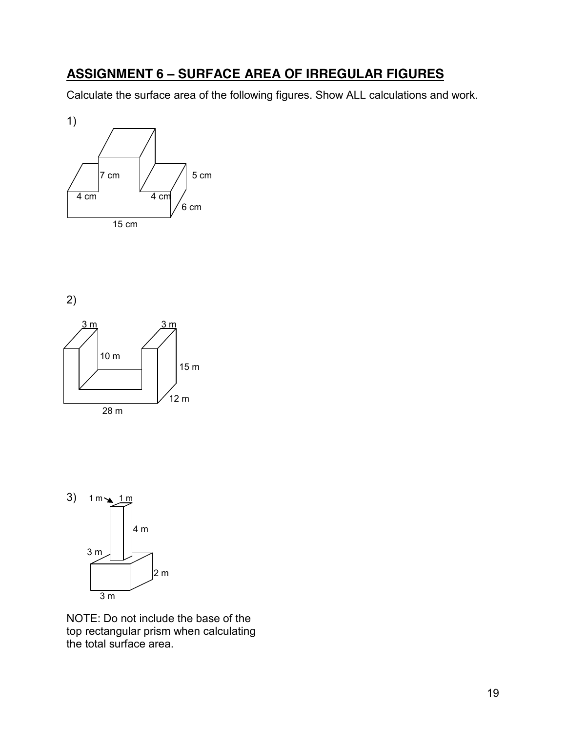## **ASSIGNMENT 6 – SURFACE AREA OF IRREGULAR FIGURES**

Calculate the surface area of the following figures. Show ALL calculations and work.



2)





NOTE: Do not include the base of the top rectangular prism when calculating the total surface area.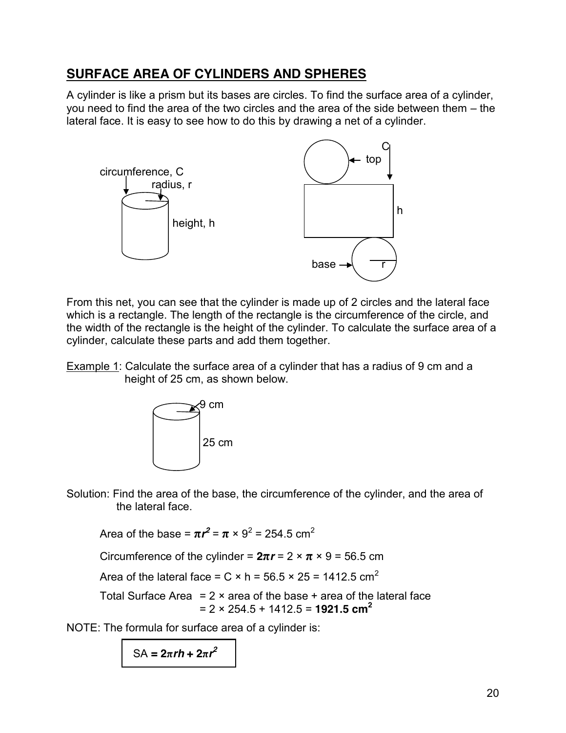# **SURFACE AREA OF CYLINDERS AND SPHERES**

A cylinder is like a prism but its bases are circles. To find the surface area of a cylinder, you need to find the area of the two circles and the area of the side between them – the lateral face. It is easy to see how to do this by drawing a net of a cylinder.



From this net, you can see that the cylinder is made up of 2 circles and the lateral face which is a rectangle. The length of the rectangle is the circumference of the circle, and the width of the rectangle is the height of the cylinder. To calculate the surface area of a cylinder, calculate these parts and add them together.

Example 1: Calculate the surface area of a cylinder that has a radius of 9 cm and a height of 25 cm, as shown below.



Solution: Find the area of the base, the circumference of the cylinder, and the area of the lateral face.

Area of the base =  $\pi r^2$  =  $\pi \times 9^2$  = 254.5 cm<sup>2</sup>

Circumference of the cylinder =  $2\pi r = 2 \times \pi \times 9 = 56.5$  cm

Area of the lateral face =  $C \times h = 56.5 \times 25 = 1412.5$  cm<sup>2</sup>

Total Surface Area =  $2 \times$  area of the base + area of the lateral face  $= 2 \times 254.5 + 1412.5 = 1921.5$  cm<sup>2</sup>

NOTE: The formula for surface area of a cylinder is:

 $SA = 2πrh + 2πr^2$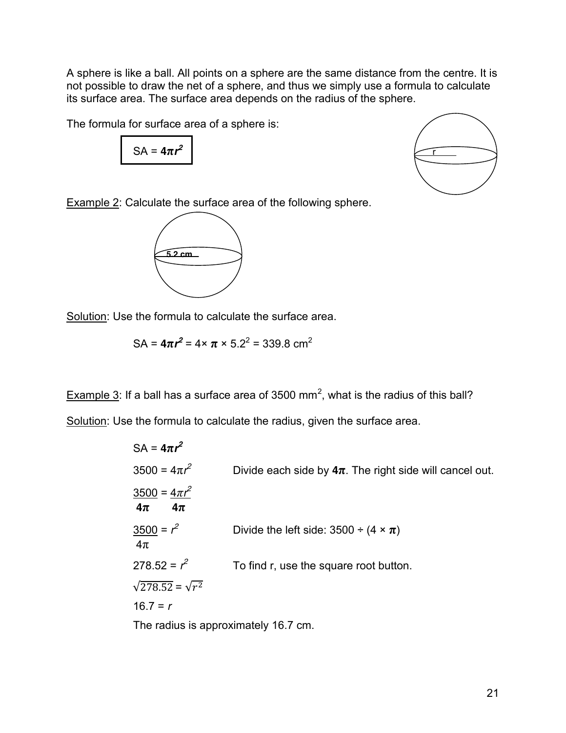A sphere is like a ball. All points on a sphere are the same distance from the centre. It is not possible to draw the net of a sphere, and thus we simply use a formula to calculate its surface area. The surface area depends on the radius of the sphere.

The formula for surface area of a sphere is:

 $SA = 4\pi r^2$ 



Example 2: Calculate the surface area of the following sphere.



Solution: Use the formula to calculate the surface area.

$$
SA = 4\pi r^2 = 4 \times \pi \times 5.2^2 = 339.8 \text{ cm}^2
$$

Example 3: If a ball has a surface area of 3500 mm<sup>2</sup>, what is the radius of this ball?

Solution: Use the formula to calculate the radius, given the surface area.

| $SA = 4\pi r^2$                             |                                                              |
|---------------------------------------------|--------------------------------------------------------------|
| $3500 = 4\pi r^2$                           | Divide each side by $4\pi$ . The right side will cancel out. |
| $\frac{3500}{4\pi r^2}$<br>$4\pi$<br>$4\pi$ |                                                              |
| $3500 = r^2$<br>$4\pi$                      | Divide the left side: $3500 \div (4 \times \pi)$             |
| $278.52 = r^2$                              | To find r, use the square root button.                       |
| $\sqrt{278.52} = \sqrt{r^2}$                |                                                              |
| $16.7 = r$                                  |                                                              |
|                                             |                                                              |

The radius is approximately 16.7 cm.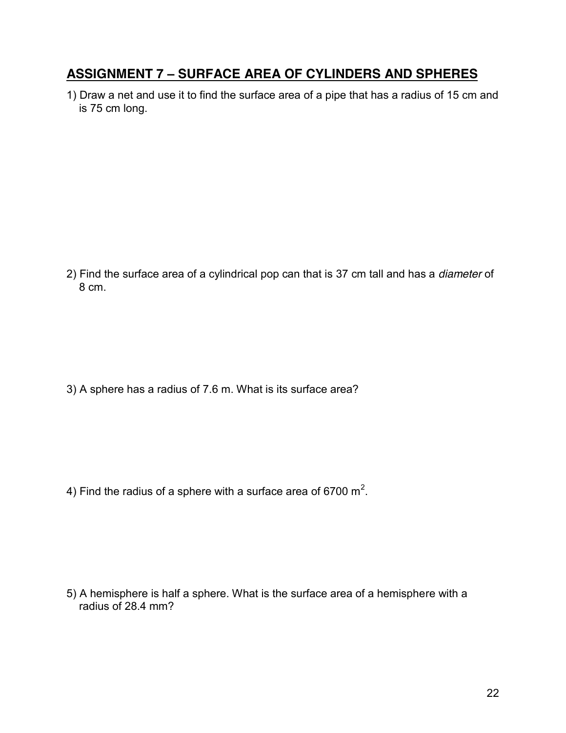#### **ASSIGNMENT 7 – SURFACE AREA OF CYLINDERS AND SPHERES**

1) Draw a net and use it to find the surface area of a pipe that has a radius of 15 cm and is 75 cm long.

2) Find the surface area of a cylindrical pop can that is 37 cm tall and has a *diameter* of 8 cm.

3) A sphere has a radius of 7.6 m. What is its surface area?

4) Find the radius of a sphere with a surface area of 6700  $\textsf{m}^2$ .

5) A hemisphere is half a sphere. What is the surface area of a hemisphere with a radius of 28.4 mm?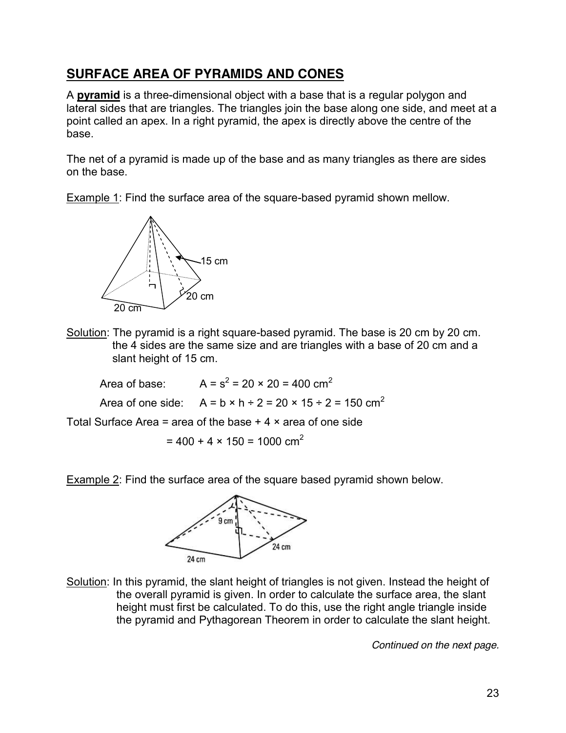# **SURFACE AREA OF PYRAMIDS AND CONES**

A **pyramid** is a three-dimensional object with a base that is a regular polygon and lateral sides that are triangles. The triangles join the base along one side, and meet at a point called an apex. In a right pyramid, the apex is directly above the centre of the base.

The net of a pyramid is made up of the base and as many triangles as there are sides on the base.

Example 1: Find the surface area of the square-based pyramid shown mellow.



Solution: The pyramid is a right square-based pyramid. The base is 20 cm by 20 cm. the 4 sides are the same size and are triangles with a base of 20 cm and a slant height of 15 cm.

Area of base:  $A = s^2 = 20 \times 20 = 400 \text{ cm}^2$ Area of one side:  $A = b \times h + 2 = 20 \times 15 \div 2 = 150 \text{ cm}^2$ 

Total Surface Area = area of the base  $+4 \times$  area of one side

$$
= 400 + 4 \times 150 = 1000 \text{ cm}^2
$$

Example 2: Find the surface area of the square based pyramid shown below.



Solution: In this pyramid, the slant height of triangles is not given. Instead the height of the overall pyramid is given. In order to calculate the surface area, the slant height must first be calculated. To do this, use the right angle triangle inside the pyramid and Pythagorean Theorem in order to calculate the slant height.

*Continued on the next page.*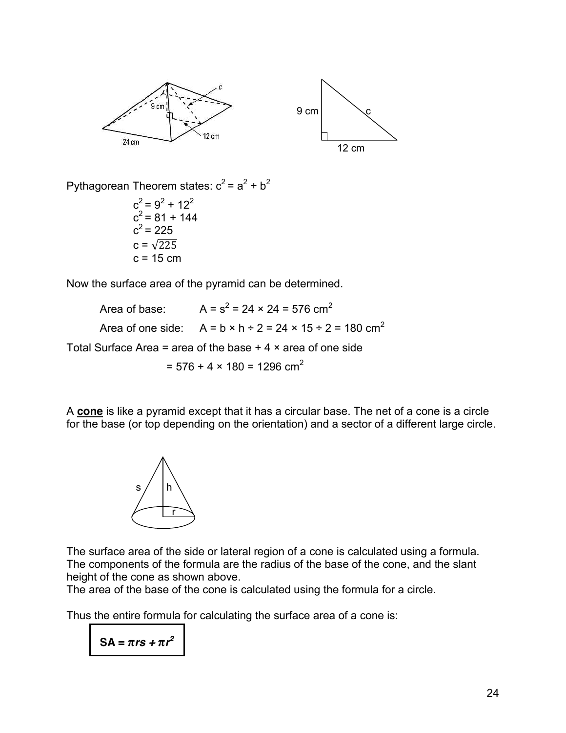



Pythagorean Theorem states:  $c^2 = a^2 + b^2$ 

 $c^2 = 9^2 + 12^2$  $c^2$  = 81 + 144  $c^2$  = 225  $c = \sqrt{225}$  $c = 15$  cm

Now the surface area of the pyramid can be determined.

Area of base:  $A = s^2 = 24 \times 24 = 576$  cm<sup>2</sup> Area of one side:  $A = b \times h + 2 = 24 \times 15 \div 2 = 180 \text{ cm}^2$ Total Surface Area = area of the base  $+4 \times$  area of one side  $= 576 + 4 \times 180 = 1296$  cm<sup>2</sup>

A **cone** is like a pyramid except that it has a circular base. The net of a cone is a circle for the base (or top depending on the orientation) and a sector of a different large circle.



The surface area of the side or lateral region of a cone is calculated using a formula. The components of the formula are the radius of the base of the cone, and the slant height of the cone as shown above.

The area of the base of the cone is calculated using the formula for a circle.

Thus the entire formula for calculating the surface area of a cone is:

 $SA = \pi rs + \pi r^2$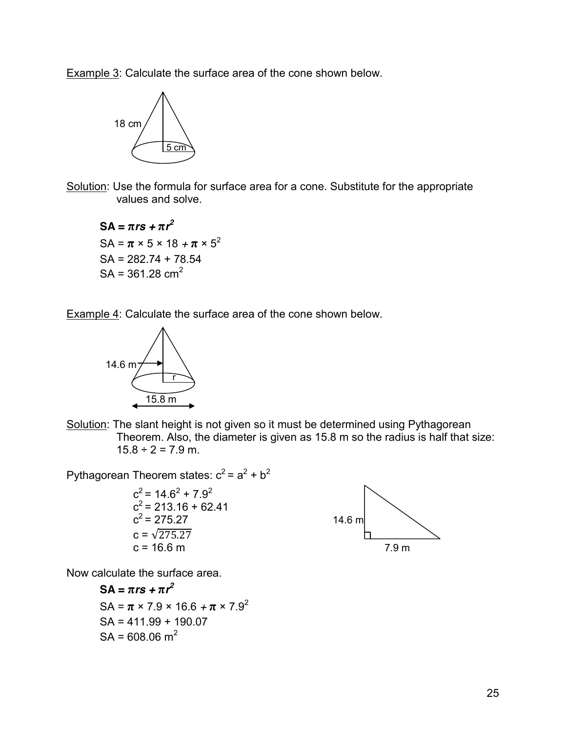Example 3: Calculate the surface area of the cone shown below.



Solution: Use the formula for surface area for a cone. Substitute for the appropriate values and solve.

 $SA = \pi rs + \pi r^2$  $SA = \pi \times 5 \times 18 + \pi \times 5^2$ SA = 282.74 + 78.54  $SA = 361.28$  cm<sup>2</sup>

Example 4: Calculate the surface area of the cone shown below.



Solution: The slant height is not given so it must be determined using Pythagorean Theorem. Also, the diameter is given as 15.8 m so the radius is half that size:  $15.8 \div 2 = 7.9$  m.

Pythagorean Theorem states:  $c^2 = a^2 + b^2$ 

$$
c2 = 14.62 + 7.92
$$
  
\n
$$
c2 = 213.16 + 62.41
$$
  
\n
$$
c2 = 275.27
$$
  
\n
$$
c = \sqrt{275.27}
$$
  
\n
$$
c = 16.6 \text{ m}
$$
  
\n14.6 m  
\n14.6 m  
\n14.8 m  
\n14.8 m



Now calculate the surface area.

 $SA = \pi rs + \pi r^2$ SA =  $\pi$  × 7.9 × 16.6 +  $\pi$  × 7.9<sup>2</sup> SA = 411.99 + 190.07  $SA = 608.06$  m<sup>2</sup>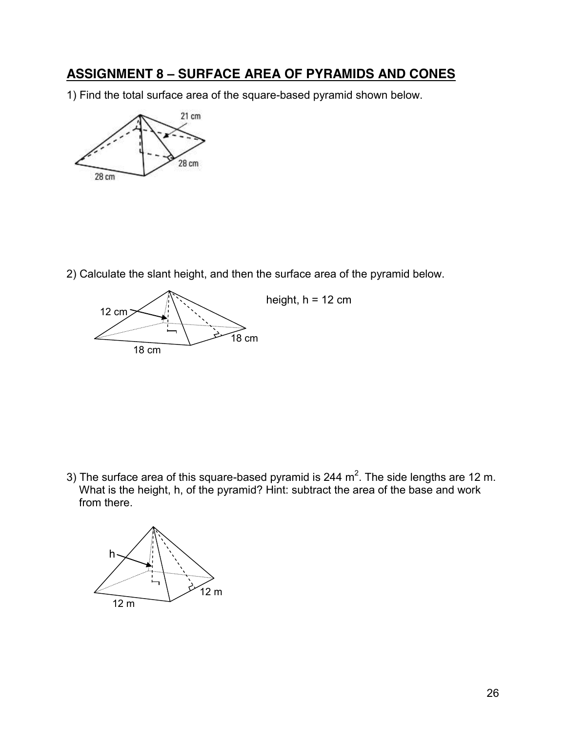#### **ASSIGNMENT 8 – SURFACE AREA OF PYRAMIDS AND CONES**

1) Find the total surface area of the square-based pyramid shown below.



2) Calculate the slant height, and then the surface area of the pyramid below.



3) The surface area of this square-based pyramid is 244 m<sup>2</sup>. The side lengths are 12 m. What is the height, h, of the pyramid? Hint: subtract the area of the base and work from there.

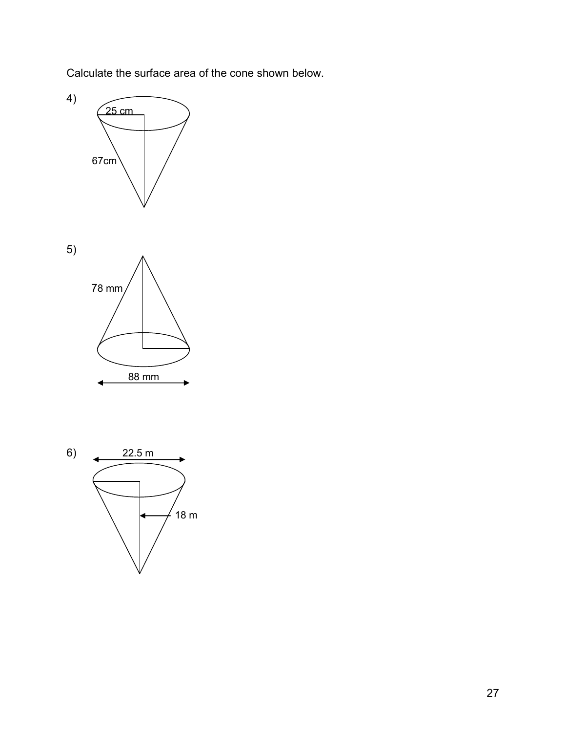Calculate the surface area of the cone shown below.





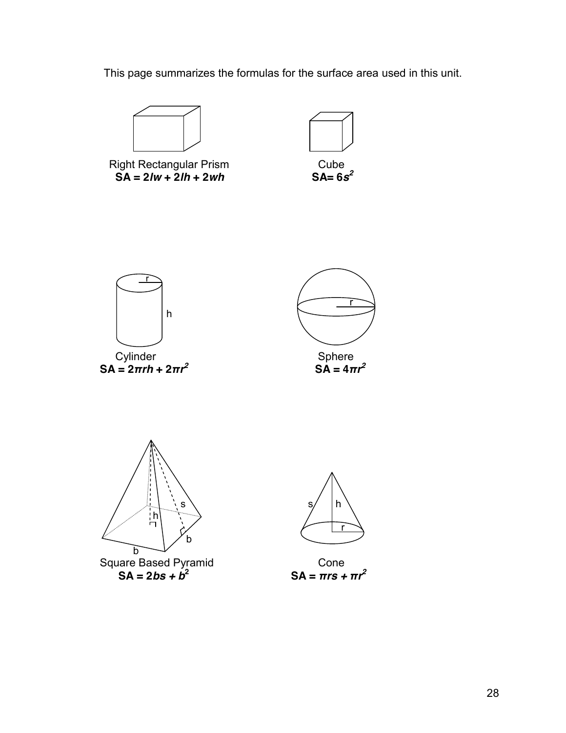This page summarizes the formulas for the surface area used in this unit.

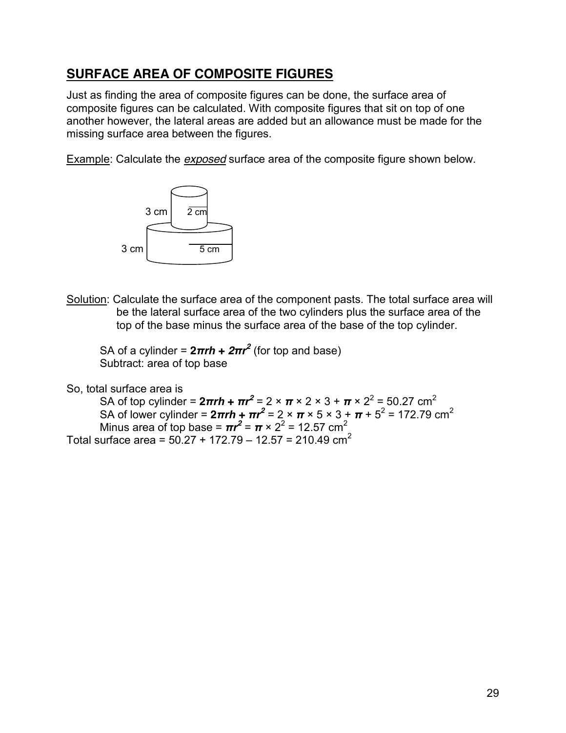#### **SURFACE AREA OF COMPOSITE FIGURES**

Just as finding the area of composite figures can be done, the surface area of composite figures can be calculated. With composite figures that sit on top of one another however, the lateral areas are added but an allowance must be made for the missing surface area between the figures.

Example: Calculate the *exposed* surface area of the composite figure shown below.



Solution: Calculate the surface area of the component pasts. The total surface area will be the lateral surface area of the two cylinders plus the surface area of the top of the base minus the surface area of the base of the top cylinder.

SA of a cylinder =  $2\pi rh + 2\pi r^2$  (for top and base) Subtract: area of top base

So, total surface area is

SA of top cylinder =  $2\pi rh$  +  $\pi r^2$  =  $2 \times \pi \times 2 \times 3 + \pi \times 2^2$  = 50.27 cm<sup>2</sup> SA of lower cylinder =  $2\pi rh$  +  $\pi r^2$  = 2 ×  $\pi$  × 5 × 3 +  $\pi$  + 5<sup>2</sup> = 172.79 cm<sup>2</sup> Minus area of top base =  $\pi r^2$  =  $\pi \times 2^2$  = 12.57 cm<sup>2</sup> Total surface area =  $50.27 + 172.79 - 12.57 = 210.49$  cm<sup>2</sup>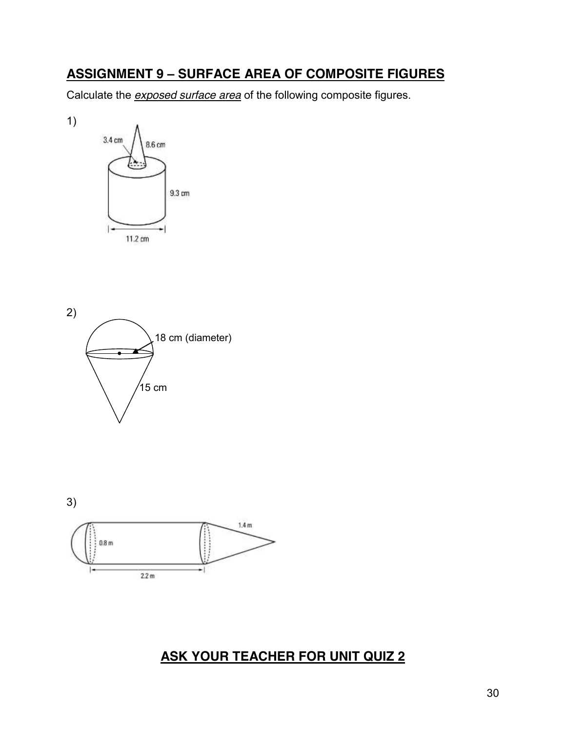#### **ASSIGNMENT 9 – SURFACE AREA OF COMPOSITE FIGURES**

Calculate the *exposed surface area* of the following composite figures.



1)





# **ASK YOUR TEACHER FOR UNIT QUIZ 2**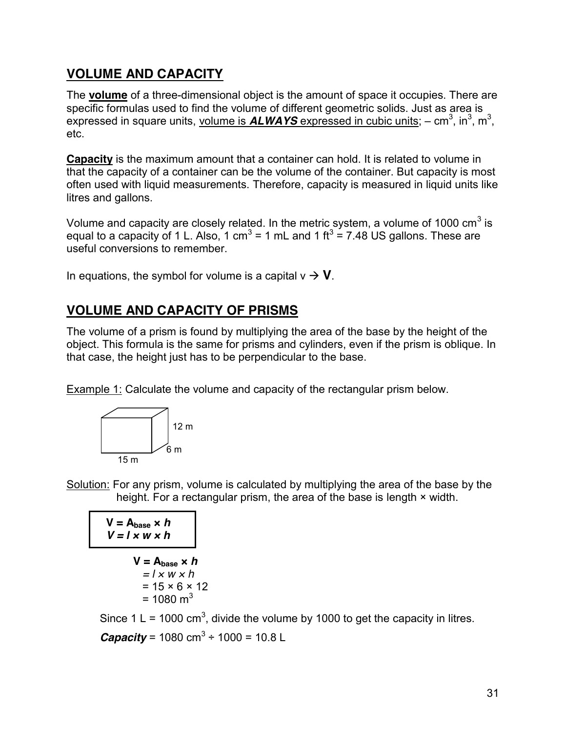## **VOLUME AND CAPACITY**

The **volume** of a three-dimensional object is the amount of space it occupies. There are specific formulas used to find the volume of different geometric solids. Just as area is expressed in square units, volume is **ALWAYS** expressed in cubic units; - cm<sup>3</sup>, in<sup>3</sup>, m<sup>3</sup>, etc.

**Capacity** is the maximum amount that a container can hold. It is related to volume in that the capacity of a container can be the volume of the container. But capacity is most often used with liquid measurements. Therefore, capacity is measured in liquid units like litres and gallons.

Volume and capacity are closely related. In the metric system, a volume of 1000  $\text{cm}^3$  is equal to a capacity of 1 L. Also, 1 cm<sup>3</sup> = 1 mL and 1 ft<sup>3</sup> = 7.48 US gallons. These are useful conversions to remember.

In equations, the symbol for volume is a capital  $v \rightarrow V$ .

## **VOLUME AND CAPACITY OF PRISMS**

The volume of a prism is found by multiplying the area of the base by the height of the object. This formula is the same for prisms and cylinders, even if the prism is oblique. In that case, the height just has to be perpendicular to the base.

Example 1: Calculate the volume and capacity of the rectangular prism below.



Solution: For any prism, volume is calculated by multiplying the area of the base by the height. For a rectangular prism, the area of the base is length  $\times$  width.

$$
V = A_{base} \times h
$$
  

$$
V = l \times w \times h
$$

$$
V = Abase × h
$$
  
= l × w × h  
= 15 × 6 × 12  
= 1080 m<sup>3</sup>

Since 1 L = 1000 cm<sup>3</sup>, divide the volume by 1000 to get the capacity in litres. *Capacity* = 1080 cm<sup>3</sup> ÷ 1000 = 10.8 L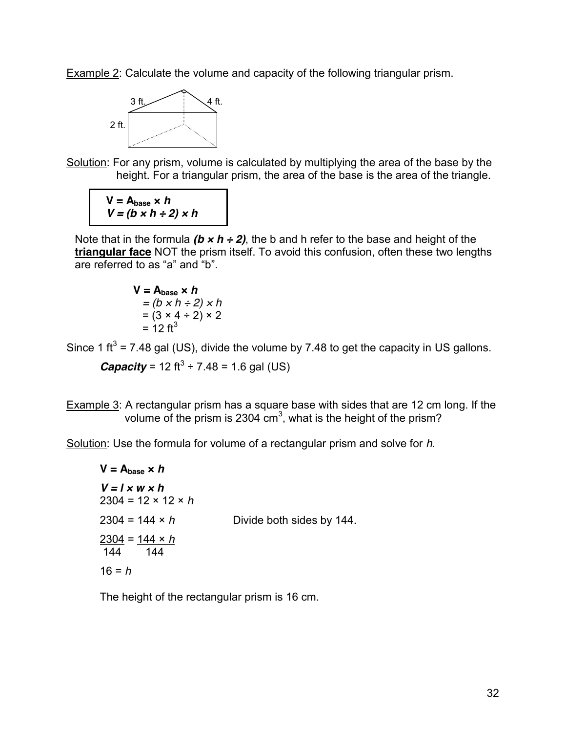Example 2: Calculate the volume and capacity of the following triangular prism.



Solution: For any prism, volume is calculated by multiplying the area of the base by the height. For a triangular prism, the area of the base is the area of the triangle.

 $V = A_{base} \times h$  $V = (b \times h \div 2) \times h$ 

Note that in the formula  $(b \times h \div 2)$ , the b and h refer to the base and height of the **triangular face** NOT the prism itself. To avoid this confusion, often these two lengths are referred to as "a" and "b".

**V** = **A**<sub>base</sub> × **h**  
= 
$$
(b \times h \div 2) \times h
$$
  
=  $(3 \times 4 \div 2) \times 2$   
= 12 ft<sup>3</sup>

Since 1 ft<sup>3</sup> = 7.48 gal (US), divide the volume by 7.48 to get the capacity in US gallons.

*Capacity* = 12 ft<sup>3</sup> ÷ 7.48 = 1.6 gal (US)

Example 3: A rectangular prism has a square base with sides that are 12 cm long. If the volume of the prism is 2304 cm<sup>3</sup>, what is the height of the prism?

Solution: Use the formula for volume of a rectangular prism and solve for *h*.

 $V = A_{base} \times h$  $V = I \times W \times h$ 2304 = 12 × 12 × *h*  $2304 = 144 \times h$  Divide both sides by 144. 2304 = 144 × *h* 144 144 16 = *h*

The height of the rectangular prism is 16 cm.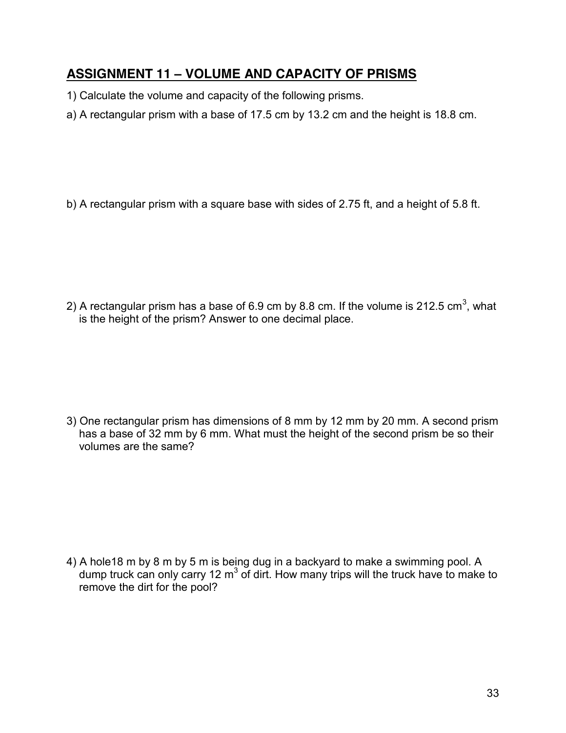## **ASSIGNMENT 11 – VOLUME AND CAPACITY OF PRISMS**

- 1) Calculate the volume and capacity of the following prisms.
- a) A rectangular prism with a base of 17.5 cm by 13.2 cm and the height is 18.8 cm.

b) A rectangular prism with a square base with sides of 2.75 ft, and a height of 5.8 ft.

2) A rectangular prism has a base of 6.9 cm by 8.8 cm. If the volume is 212.5 cm<sup>3</sup>, what is the height of the prism? Answer to one decimal place.

3) One rectangular prism has dimensions of 8 mm by 12 mm by 20 mm. A second prism has a base of 32 mm by 6 mm. What must the height of the second prism be so their volumes are the same?

4) A hole18 m by 8 m by 5 m is being dug in a backyard to make a swimming pool. A dump truck can only carry 12  $m<sup>3</sup>$  of dirt. How many trips will the truck have to make to remove the dirt for the pool?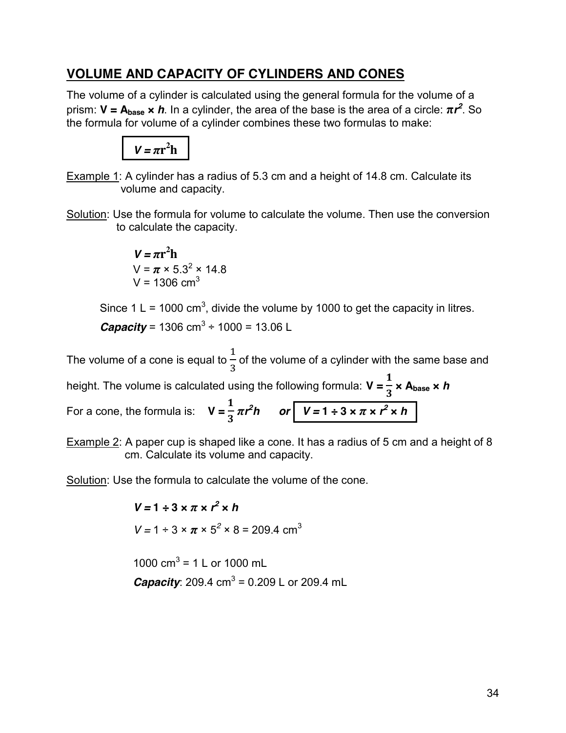#### **VOLUME AND CAPACITY OF CYLINDERS AND CONES**

The volume of a cylinder is calculated using the general formula for the volume of a prism: **V = Abase ×** *h*. In a cylinder, the area of the base is the area of a circle: **π***r 2* . So the formula for volume of a cylinder combines these two formulas to make:



Example 1: A cylinder has a radius of 5.3 cm and a height of 14.8 cm. Calculate its volume and capacity.

Solution: Use the formula for volume to calculate the volume. Then use the conversion to calculate the capacity.

> $V = \pi r^2 h$  $V = \pi \times 5.3^2 \times 14.8$  $V = 1306$  cm<sup>3</sup>

Since 1 L = 1000 cm<sup>3</sup>, divide the volume by 1000 to get the capacity in litres. *Capacity* = 1306 cm<sup>3</sup> ÷ 1000 = 13.06 L

The volume of a cone is equal to  $\mathbf 1$  $\frac{1}{3}$  of the volume of a cylinder with the same base and height. The volume is calculated using the following formula: **V =**   $\mathbf{1}$  **× Abase ×** *h* For a cone, the formula is: **V =**   $\frac{1}{3} \pi r^2 h$  or  $V = 1 \div 3 \times \pi \times r^2 \times h$ 

Example 2: A paper cup is shaped like a cone. It has a radius of 5 cm and a height of 8 cm. Calculate its volume and capacity.

Solution: Use the formula to calculate the volume of the cone.

 $V = 1 \div 3 \times \pi \times r^2 \times h$  $V = 1 \div 3 \times \pi \times 5^2 \times 8 = 209.4$  cm<sup>3</sup>

1000  $\text{cm}^3$  = 1 L or 1000 mL *Capacity*: 209.4 cm<sup>3</sup> = 0.209 L or 209.4 mL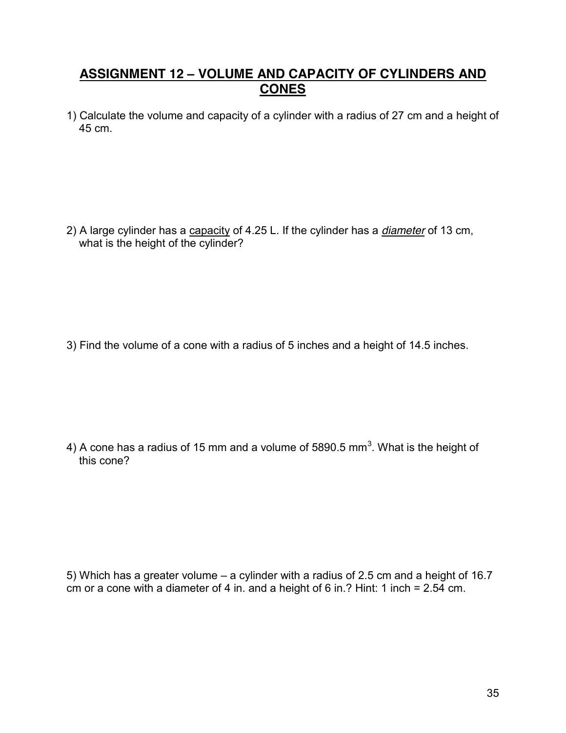#### **ASSIGNMENT 12 – VOLUME AND CAPACITY OF CYLINDERS AND CONES**

1) Calculate the volume and capacity of a cylinder with a radius of 27 cm and a height of 45 cm.

2) A large cylinder has a capacity of 4.25 L. If the cylinder has a *diameter* of 13 cm, what is the height of the cylinder?

3) Find the volume of a cone with a radius of 5 inches and a height of 14.5 inches.

4) A cone has a radius of 15 mm and a volume of 5890.5 mm<sup>3</sup>. What is the height of this cone?

5) Which has a greater volume – a cylinder with a radius of 2.5 cm and a height of 16.7 cm or a cone with a diameter of 4 in. and a height of 6 in.? Hint: 1 inch =  $2.54$  cm.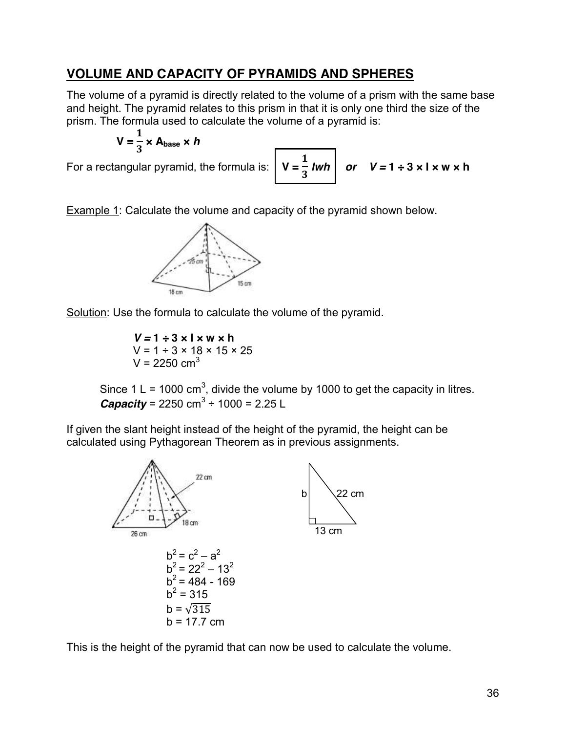#### **VOLUME AND CAPACITY OF PYRAMIDS AND SPHERES**

The volume of a pyramid is directly related to the volume of a prism with the same base and height. The pyramid relates to this prism in that it is only one third the size of the prism. The formula used to calculate the volume of a pyramid is:

$$
V = \frac{1}{3} \times A_{base} \times h
$$

For a rectangular pyramid, the formula is:

$$
V = \frac{1}{3} Iwh
$$
 or  $V = 1 \div 3 \times 1 \times w \times h$ 

Example 1: Calculate the volume and capacity of the pyramid shown below.



Solution: Use the formula to calculate the volume of the pyramid.

 $V = 1 \div 3 \times I \times W \times h$  $V = 1 \div 3 \times 18 \times 15 \times 25$  $V = 2250$  cm<sup>3</sup>

Since 1 L = 1000 cm<sup>3</sup>, divide the volume by 1000 to get the capacity in litres. *Capacity* = 2250 cm<sup>3</sup> ÷ 1000 = 2.25 L

If given the slant height instead of the height of the pyramid, the height can be calculated using Pythagorean Theorem as in previous assignments.



This is the height of the pyramid that can now be used to calculate the volume.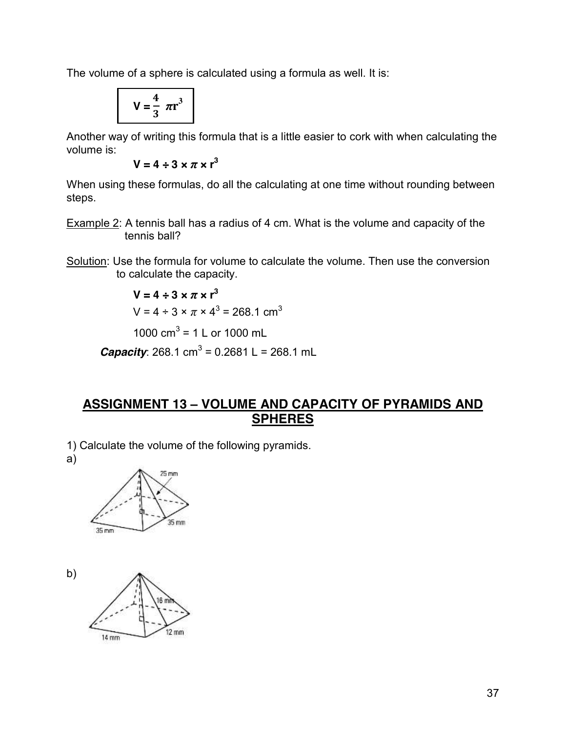The volume of a sphere is calculated using a formula as well. It is:

$$
V = \frac{4}{3} \pi r^3
$$

Another way of writing this formula that is a little easier to cork with when calculating the volume is:

 $V = 4 \div 3 \times \pi \times r^3$ 

When using these formulas, do all the calculating at one time without rounding between steps.

- Example 2: A tennis ball has a radius of 4 cm. What is the volume and capacity of the tennis ball?
- Solution: Use the formula for volume to calculate the volume. Then use the conversion to calculate the capacity.

$$
V = 4 \div 3 \times \pi \times r^3
$$
  
\n $V = 4 \div 3 \times \pi \times 4^3 = 268.1 \text{ cm}^3$   
\n1000 cm<sup>3</sup> = 1 L or 1000 mL

**Capacity**: 268.1 cm<sup>3</sup> = 0.2681 L = 268.1 mL

#### **ASSIGNMENT 13 – VOLUME AND CAPACITY OF PYRAMIDS AND SPHERES**

1) Calculate the volume of the following pyramids.

a)



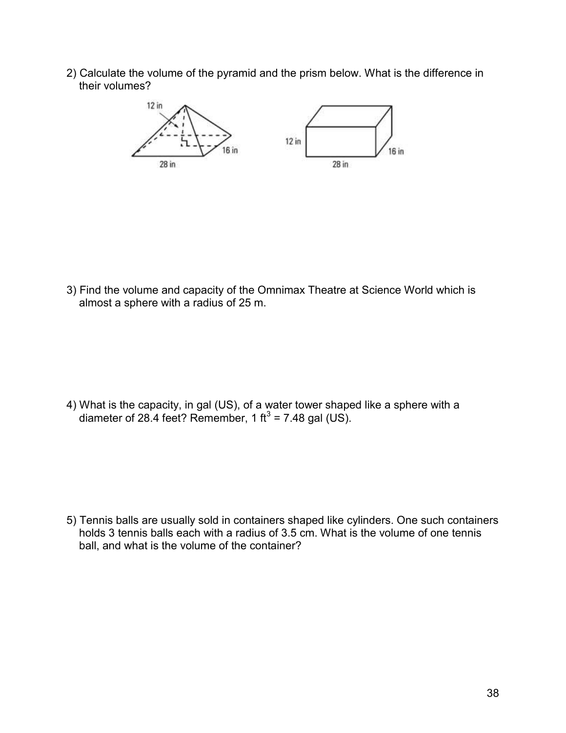2) Calculate the volume of the pyramid and the prism below. What is the difference in their volumes?



3) Find the volume and capacity of the Omnimax Theatre at Science World which is almost a sphere with a radius of 25 m.

4) What is the capacity, in gal (US), of a water tower shaped like a sphere with a diameter of 28.4 feet? Remember, 1 ft<sup>3</sup> = 7.48 gal (US).

5) Tennis balls are usually sold in containers shaped like cylinders. One such containers holds 3 tennis balls each with a radius of 3.5 cm. What is the volume of one tennis ball, and what is the volume of the container?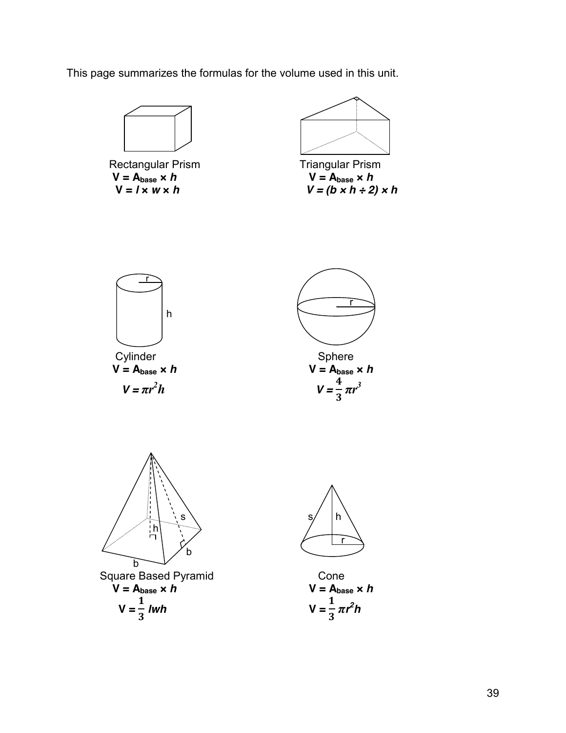This page summarizes the formulas for the volume used in this unit.



Rectangular Prism Triangular Prism  $V = A_{base} \times h$ <br>  $V = I \times w \times h$ <br>  $V = (b \times h \div 2)$ 



 $V = (b \times h \div 2) \times h$ 







r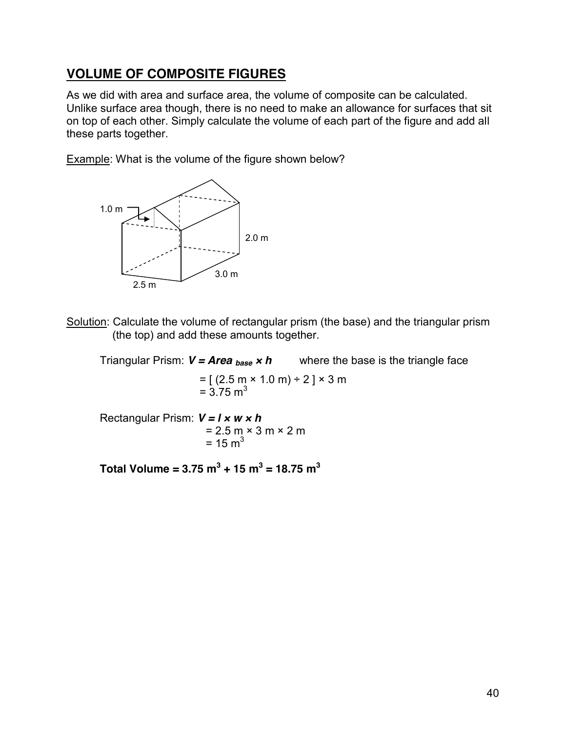# **VOLUME OF COMPOSITE FIGURES**

As we did with area and surface area, the volume of composite can be calculated. Unlike surface area though, there is no need to make an allowance for surfaces that sit on top of each other. Simply calculate the volume of each part of the figure and add all these parts together.

Example: What is the volume of the figure shown below?



Solution: Calculate the volume of rectangular prism (the base) and the triangular prism (the top) and add these amounts together.

Triangular Prism:  $V = Area_{base} \times h$  where the base is the triangle face

 $=$  [ (2.5 m  $\times$  1.0 m) ÷ 2 ]  $\times$  3 m  $= 3.75$  m<sup>3</sup>

Rectangular Prism: *V = l* **×** *w* **×** *h*  $= 2.5 \text{ m} \times 3 \text{ m} \times 2 \text{ m}$  $= 15 m<sup>3</sup>$ 

Total Volume =  $3.75 \text{ m}^3 + 15 \text{ m}^3 = 18.75 \text{ m}^3$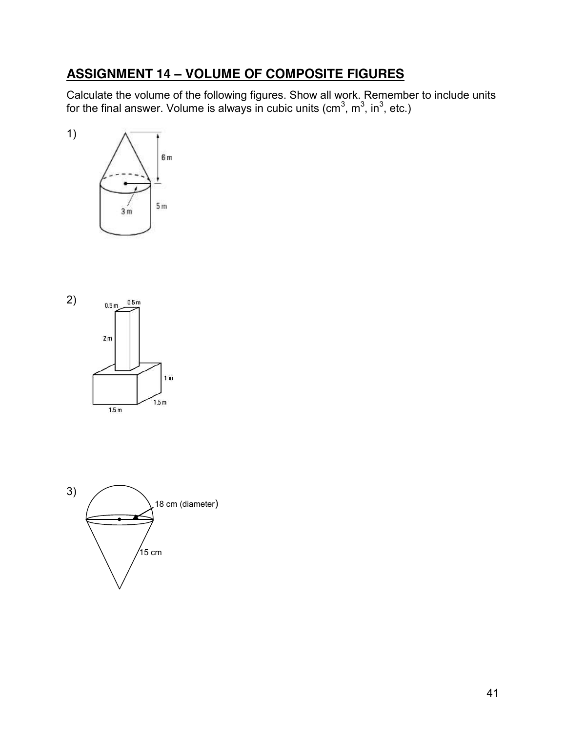# **ASSIGNMENT 14 – VOLUME OF COMPOSITE FIGURES**

Calculate the volume of the following figures. Show all work. Remember to include units for the final answer. Volume is always in cubic units (cm<sup>3</sup>, m<sup>3</sup>, in<sup>3</sup>, etc.)